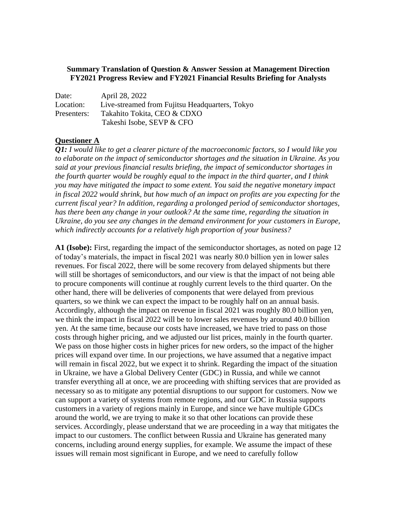## **Summary Translation of Question & Answer Session at Management Direction FY2021 Progress Review and FY2021 Financial Results Briefing for Analysts**

| Date:       | April 28, 2022                                 |
|-------------|------------------------------------------------|
| Location:   | Live-streamed from Fujitsu Headquarters, Tokyo |
| Presenters: | Takahito Tokita, CEO & CDXO                    |
|             | Takeshi Isobe, SEVP & CFO                      |

## **Questioner A**

*Q1: I would like to get a clearer picture of the macroeconomic factors, so I would like you to elaborate on the impact of semiconductor shortages and the situation in Ukraine. As you said at your previous financial results briefing, the impact of semiconductor shortages in the fourth quarter would be roughly equal to the impact in the third quarter, and I think you may have mitigated the impact to some extent. You said the negative monetary impact in fiscal 2022 would shrink, but how much of an impact on profits are you expecting for the current fiscal year? In addition, regarding a prolonged period of semiconductor shortages, has there been any change in your outlook? At the same time, regarding the situation in Ukraine, do you see any changes in the demand environment for your customers in Europe, which indirectly accounts for a relatively high proportion of your business?*

**A1 (Isobe):** First, regarding the impact of the semiconductor shortages, as noted on page 12 of today's materials, the impact in fiscal 2021 was nearly 80.0 billion yen in lower sales revenues. For fiscal 2022, there will be some recovery from delayed shipments but there will still be shortages of semiconductors, and our view is that the impact of not being able to procure components will continue at roughly current levels to the third quarter. On the other hand, there will be deliveries of components that were delayed from previous quarters, so we think we can expect the impact to be roughly half on an annual basis. Accordingly, although the impact on revenue in fiscal 2021 was roughly 80.0 billion yen, we think the impact in fiscal 2022 will be to lower sales revenues by around 40.0 billion yen. At the same time, because our costs have increased, we have tried to pass on those costs through higher pricing, and we adjusted our list prices, mainly in the fourth quarter. We pass on those higher costs in higher prices for new orders, so the impact of the higher prices will expand over time. In our projections, we have assumed that a negative impact will remain in fiscal 2022, but we expect it to shrink. Regarding the impact of the situation in Ukraine, we have a Global Delivery Center (GDC) in Russia, and while we cannot transfer everything all at once, we are proceeding with shifting services that are provided as necessary so as to mitigate any potential disruptions to our support for customers. Now we can support a variety of systems from remote regions, and our GDC in Russia supports customers in a variety of regions mainly in Europe, and since we have multiple GDCs around the world, we are trying to make it so that other locations can provide these services. Accordingly, please understand that we are proceeding in a way that mitigates the impact to our customers. The conflict between Russia and Ukraine has generated many concerns, including around energy supplies, for example. We assume the impact of these issues will remain most significant in Europe, and we need to carefully follow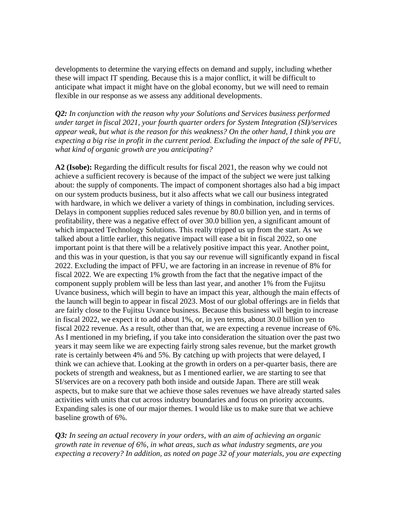developments to determine the varying effects on demand and supply, including whether these will impact IT spending. Because this is a major conflict, it will be difficult to anticipate what impact it might have on the global economy, but we will need to remain flexible in our response as we assess any additional developments.

*Q2: In conjunction with the reason why your Solutions and Services business performed under target in fiscal 2021, your fourth quarter orders for System Integration (SI)/services appear weak, but what is the reason for this weakness? On the other hand, I think you are expecting a big rise in profit in the current period. Excluding the impact of the sale of PFU, what kind of organic growth are you anticipating?*

**A2 (Isobe):** Regarding the difficult results for fiscal 2021, the reason why we could not achieve a sufficient recovery is because of the impact of the subject we were just talking about: the supply of components. The impact of component shortages also had a big impact on our system products business, but it also affects what we call our business integrated with hardware, in which we deliver a variety of things in combination, including services. Delays in component supplies reduced sales revenue by 80.0 billion yen, and in terms of profitability, there was a negative effect of over 30.0 billion yen, a significant amount of which impacted Technology Solutions. This really tripped us up from the start. As we talked about a little earlier, this negative impact will ease a bit in fiscal 2022, so one important point is that there will be a relatively positive impact this year. Another point, and this was in your question, is that you say our revenue will significantly expand in fiscal 2022. Excluding the impact of PFU, we are factoring in an increase in revenue of 8% for fiscal 2022. We are expecting 1% growth from the fact that the negative impact of the component supply problem will be less than last year, and another 1% from the Fujitsu Uvance business, which will begin to have an impact this year, although the main effects of the launch will begin to appear in fiscal 2023. Most of our global offerings are in fields that are fairly close to the Fujitsu Uvance business. Because this business will begin to increase in fiscal 2022, we expect it to add about 1%, or, in yen terms, about 30.0 billion yen to fiscal 2022 revenue. As a result, other than that, we are expecting a revenue increase of 6%. As I mentioned in my briefing, if you take into consideration the situation over the past two years it may seem like we are expecting fairly strong sales revenue, but the market growth rate is certainly between 4% and 5%. By catching up with projects that were delayed, I think we can achieve that. Looking at the growth in orders on a per-quarter basis, there are pockets of strength and weakness, but as I mentioned earlier, we are starting to see that SI/services are on a recovery path both inside and outside Japan. There are still weak aspects, but to make sure that we achieve those sales revenues we have already started sales activities with units that cut across industry boundaries and focus on priority accounts. Expanding sales is one of our major themes. I would like us to make sure that we achieve baseline growth of 6%.

*Q3: In seeing an actual recovery in your orders, with an aim of achieving an organic growth rate in revenue of 6%, in what areas, such as what industry segments, are you expecting a recovery? In addition, as noted on page 32 of your materials, you are expecting*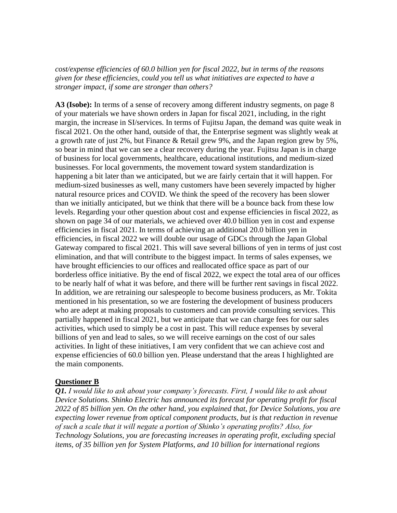*cost/expense efficiencies of 60.0 billion yen for fiscal 2022, but in terms of the reasons given for these efficiencies, could you tell us what initiatives are expected to have a stronger impact, if some are stronger than others?*

**A3 (Isobe):** In terms of a sense of recovery among different industry segments, on page 8 of your materials we have shown orders in Japan for fiscal 2021, including, in the right margin, the increase in SI/services. In terms of Fujitsu Japan, the demand was quite weak in fiscal 2021. On the other hand, outside of that, the Enterprise segment was slightly weak at a growth rate of just 2%, but Finance & Retail grew 9%, and the Japan region grew by 5%, so bear in mind that we can see a clear recovery during the year. Fujitsu Japan is in charge of business for local governments, healthcare, educational institutions, and medium-sized businesses. For local governments, the movement toward system standardization is happening a bit later than we anticipated, but we are fairly certain that it will happen. For medium-sized businesses as well, many customers have been severely impacted by higher natural resource prices and COVID. We think the speed of the recovery has been slower than we initially anticipated, but we think that there will be a bounce back from these low levels. Regarding your other question about cost and expense efficiencies in fiscal 2022, as shown on page 34 of our materials, we achieved over 40.0 billion yen in cost and expense efficiencies in fiscal 2021. In terms of achieving an additional 20.0 billion yen in efficiencies, in fiscal 2022 we will double our usage of GDCs through the Japan Global Gateway compared to fiscal 2021. This will save several billions of yen in terms of just cost elimination, and that will contribute to the biggest impact. In terms of sales expenses, we have brought efficiencies to our offices and reallocated office space as part of our borderless office initiative. By the end of fiscal 2022, we expect the total area of our offices to be nearly half of what it was before, and there will be further rent savings in fiscal 2022. In addition, we are retraining our salespeople to become business producers, as Mr. Tokita mentioned in his presentation, so we are fostering the development of business producers who are adept at making proposals to customers and can provide consulting services. This partially happened in fiscal 2021, but we anticipate that we can charge fees for our sales activities, which used to simply be a cost in past. This will reduce expenses by several billions of yen and lead to sales, so we will receive earnings on the cost of our sales activities. In light of these initiatives, I am very confident that we can achieve cost and expense efficiencies of 60.0 billion yen. Please understand that the areas I highlighted are the main components.

## **Questioner B**

*Q1. I would like to ask about your company's forecasts. First, I would like to ask about Device Solutions. Shinko Electric has announced its forecast for operating profit for fiscal 2022 of 85 billion yen. On the other hand, you explained that, for Device Solutions, you are expecting lower revenue from optical component products, but is that reduction in revenue of such a scale that it will negate a portion of Shinko's operating profits? Also, for Technology Solutions, you are forecasting increases in operating profit, excluding special items, of 35 billion yen for System Platforms, and 10 billion for international regions*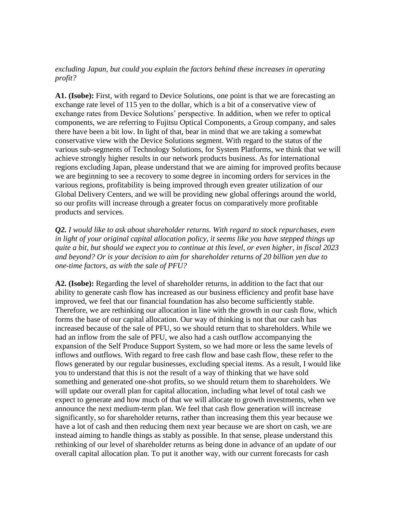## *excluding Japan, but could you explain the factors behind these increases in operating profit?*

**A1. (Isobe):** First, with regard to Device Solutions, one point is that we are forecasting an exchange rate level of 115 yen to the dollar, which is a bit of a conservative view of exchange rates from Device Solutions' perspective. In addition, when we refer to optical components, we are referring to Fujitsu Optical Components, a Group company, and sales there have been a bit low. In light of that, bear in mind that we are taking a somewhat conservative view with the Device Solutions segment. With regard to the status of the various sub-segments of Technology Solutions, for System Platforms, we think that we will achieve strongly higher results in our network products business. As for international regions excluding Japan, please understand that we are aiming for improved profits because we are beginning to see a recovery to some degree in incoming orders for services in the various regions, profitability is being improved through even greater utilization of our Global Delivery Centers, and we will be providing new global offerings around the world, so our profits will increase through a greater focus on comparatively more profitable products and services.

*Q2. I would like to ask about shareholder returns. With regard to stock repurchases, even in light of your original capital allocation policy, it seems like you have stepped things up quite a bit, but should we expect you to continue at this level, or even higher, in fiscal 2023 and beyond? Or is your decision to aim for shareholder returns of 20 billion yen due to one-time factors, as with the sale of PFU?*

**A2. (Isobe):** Regarding the level of shareholder returns, in addition to the fact that our ability to generate cash flow has increased as our business efficiency and profit base have improved, we feel that our financial foundation has also become sufficiently stable. Therefore, we are rethinking our allocation in line with the growth in our cash flow, which forms the base of our capital allocation. Our way of thinking is not that our cash has increased because of the sale of PFU, so we should return that to shareholders. While we had an inflow from the sale of PFU, we also had a cash outflow accompanying the expansion of the Self Produce Support System, so we had more or less the same levels of inflows and outflows. With regard to free cash flow and base cash flow, these refer to the flows generated by our regular businesses, excluding special items. As a result, I would like you to understand that this is not the result of a way of thinking that we have sold something and generated one-shot profits, so we should return them to shareholders. We will update our overall plan for capital allocation, including what level of total cash we expect to generate and how much of that we will allocate to growth investments, when we announce the next medium-term plan. We feel that cash flow generation will increase significantly, so for shareholder returns, rather than increasing them this year because we have a lot of cash and then reducing them next year because we are short on cash, we are instead aiming to handle things as stably as possible. In that sense, please understand this rethinking of our level of shareholder returns as being done in advance of an update of our overall capital allocation plan. To put it another way, with our current forecasts for cash